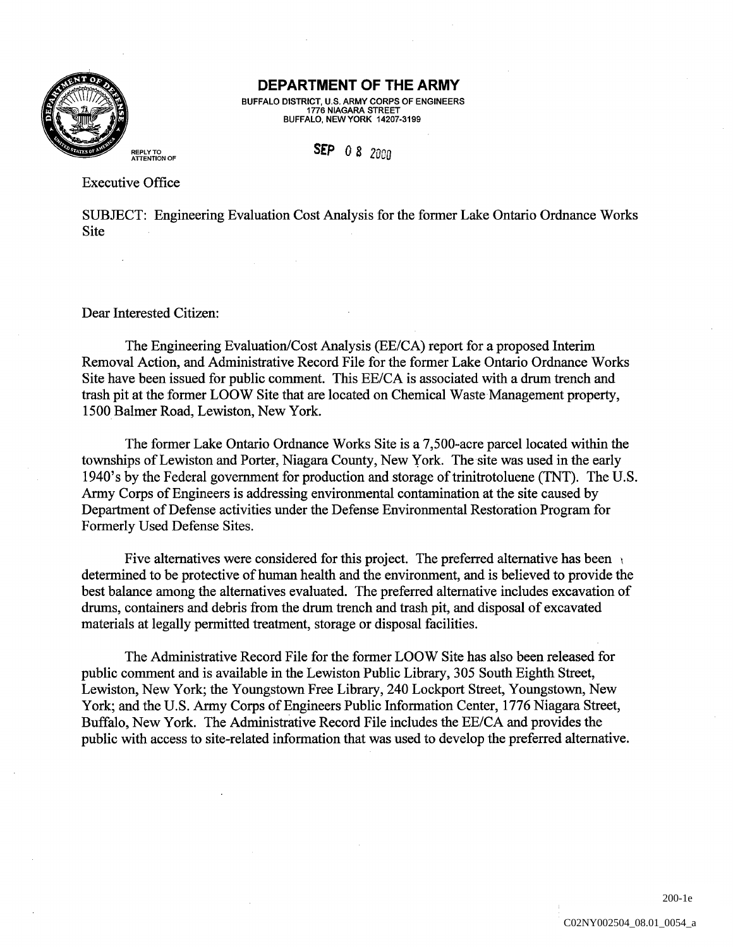

## DEPARTMENT OF THE ARMY

BUFFALO DISTRICT, U.S. ARMY CORPS OF ENGINEERS BUFFALO, NEW YORK 14207-3199

## **SEP** 0 8 2000

Executive Office

SUBJECT: Engineering Evaluation Cost Analysis for the former Lake Ontario Ordnance Works Site

Dear Interested Citizen

The Engineering Evaluation/Cost Analysis (EE/CA) report for a proposed Interim Removal Action, and Administrative Record File for the former Lake Ontario Ordnance Works Site have been issued for public comment. This EE/CA is associated with a drum trench and trash pit at the former LOOW Site that are located on Chemical Waste Management property 1500 Balmer Road, Lewiston, New York.

The former Lake Ontario Ordnance Works Site is a 7,500-acre parcel located within the townships of Lewiston and Porter, Niagara County, New York. The site was used in the early 1940's by the Federal government for production and storage of trinitrotoluene (TNT). The U.S. Army Corps of Engineers is addressing environmental contamination at the site caused by Department of Defense activities under the Defense Environmental Restoration Program for Formerly Used Defense Sites

Five alternatives were considered for this project. The preferred alternative has been determined to be protective of human health and the environment, and is believed to provide the best balance among the alternatives evaluated. The preferred alternative includes excavation of drums, containers and debris from the drum trench and trash pit, and disposal of excavated materials at legally permitted treatment, storage or disposal facilities.

The Administrative Record File for the former LOOW Site has also been released for public comment and is available in the Lewiston Public Library, 305 South Eighth Street, Lewiston, New York; the Youngstown Free Library, 240 Lockport Street, Youngstown, New York; and the U.S. Army Corps of Engineers Public Information Center, 1776 Niagara Street, Buffalo, New York. The Administrative Record File includes the EE/CA and provides the public with access to site-related information that was used to develop the preferred alternative

200-1e